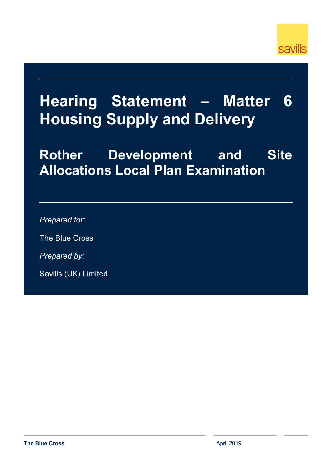

# **Hearing Statement – Matter 6 Housing Supply and Delivery**

# **Rother Development and Site Allocations Local Plan Examination**

*Prepared for:*

The Blue Cross

*Prepared by:*

Savills (UK) Limited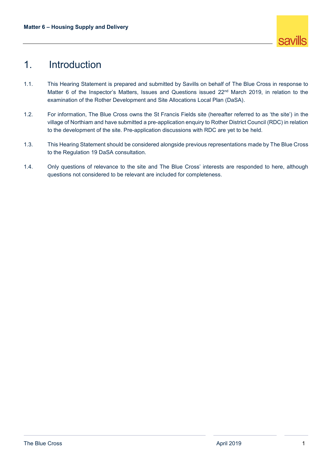

## 1. Introduction

- 1.1. This Hearing Statement is prepared and submitted by Savills on behalf of The Blue Cross in response to Matter 6 of the Inspector's Matters, Issues and Questions issued 22<sup>nd</sup> March 2019, in relation to the examination of the Rother Development and Site Allocations Local Plan (DaSA).
- 1.2. For information, The Blue Cross owns the St Francis Fields site (hereafter referred to as 'the site') in the village of Northiam and have submitted a pre-application enquiry to Rother District Council (RDC) in relation to the development of the site. Pre-application discussions with RDC are yet to be held.
- 1.3. This Hearing Statement should be considered alongside previous representations made by The Blue Cross to the Regulation 19 DaSA consultation.
- 1.4. Only questions of relevance to the site and The Blue Cross' interests are responded to here, although questions not considered to be relevant are included for completeness.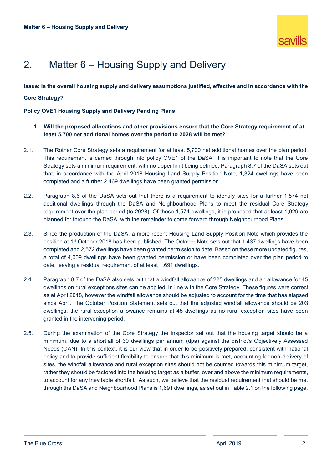## 2. Matter 6 – Housing Supply and Delivery

## **Issue: Is the overall housing supply and delivery assumptions justified, effective and in accordance with the**

### **Core Strategy?**

**Policy OVE1 Housing Supply and Delivery Pending Plans**

- **1. Will the proposed allocations and other provisions ensure that the Core Strategy requirement of at least 5,700 net additional homes over the period to 2028 will be met?**
- 2.1. The Rother Core Strategy sets a requirement for at least 5,700 net additional homes over the plan period. This requirement is carried through into policy OVE1 of the DaSA. It is important to note that the Core Strategy sets a minimum requirement, with no upper limit being defined. Paragraph 8.7 of the DaSA sets out that, in accordance with the April 2018 Housing Land Supply Position Note, 1,324 dwellings have been completed and a further 2,469 dwellings have been granted permission.
- 2.2. Paragraph 8.6 of the DaSA sets out that there is a requirement to identify sites for a further 1,574 net additional dwellings through the DaSA and Neighbourhood Plans to meet the residual Core Strategy requirement over the plan period (to 2028). Of these 1,574 dwellings, it is proposed that at least 1,029 are planned for through the DaSA, with the remainder to come forward through Neighbourhood Plans.
- 2.3. Since the production of the DaSA, a more recent Housing Land Supply Position Note which provides the position at 1st October 2018 has been published. The October Note sets out that 1,437 dwellings have been completed and 2,572 dwellings have been granted permission to date. Based on these more updated figures, a total of 4,009 dwellings have been granted permission or have been completed over the plan period to date, leaving a residual requirement of at least 1,691 dwellings.
- 2.4. Paragraph 8.7 of the DaSA also sets out that a windfall allowance of 225 dwellings and an allowance for 45 dwellings on rural exceptions sites can be applied, in line with the Core Strategy. These figures were correct as at April 2018, however the windfall allowance should be adjusted to account for the time that has elapsed since April. The October Position Statement sets out that the adjusted windfall allowance should be 203 dwellings, the rural exception allowance remains at 45 dwellings as no rural exception sites have been granted in the intervening period.
- 2.5. During the examination of the Core Strategy the Inspector set out that the housing target should be a minimum, due to a shortfall of 30 dwellings per annum (dpa) against the district's Objectively Assessed Needs (OAN). In this context, it is our view that in order to be positively prepared, consistent with national policy and to provide sufficient flexibility to ensure that this minimum is met, accounting for non-delivery of sites, the windfall allowance and rural exception sites should not be counted towards this minimum target, rather they should be factored into the housing target as a buffer, over and above the minimum requirements, to account for any inevitable shortfall. As such, we believe that the residual requirement that should be met through the DaSA and Neighbourhood Plans is 1,691 dwellings, as set out in Table 2.1 on the following page.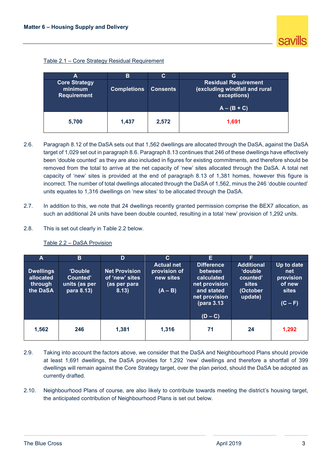| Table 2.1 – Core Strategy Residual Requirement |  |
|------------------------------------------------|--|
|------------------------------------------------|--|

| А                                                     | в                  | С               | G                                                                                            |
|-------------------------------------------------------|--------------------|-----------------|----------------------------------------------------------------------------------------------|
| <b>Core Strategy</b><br>minimum<br><b>Requirement</b> | <b>Completions</b> | <b>Consents</b> | <b>Residual Requirement</b><br>(excluding windfall and rural<br>exceptions)<br>$A - (B + C)$ |
| 5,700                                                 | 1,437              | 2,572           | 1,691                                                                                        |

- 2.6. Paragraph 8.12 of the DaSA sets out that 1,562 dwellings are allocated through the DaSA, against the DaSA target of 1,029 set out in paragraph 8.6. Paragraph 8.13 continues that 246 of these dwellings have effectively been 'double counted' as they are also included in figures for existing commitments, and therefore should be removed from the total to arrive at the net capacity of 'new' sites allocated through the DaSA. A total net capacity of 'new' sites is provided at the end of paragraph 8.13 of 1,381 homes, however this figure is incorrect. The number of total dwellings allocated through the DaSA of 1,562, minus the 246 'double counted' units equates to 1,316 dwellings on 'new sites' to be allocated through the DaSA.
- 2.7. In addition to this, we note that 24 dwellings recently granted permission comprise the BEX7 allocation, as such an additional 24 units have been double counted, resulting in a total 'new' provision of 1,292 units.
- 2.8. This is set out clearly in Table 2.2 below.

| A                                                    | B                                                         | D                                                               | C.                                                          | Е                                                                                                                     | F                                                                                     |                                                                       |
|------------------------------------------------------|-----------------------------------------------------------|-----------------------------------------------------------------|-------------------------------------------------------------|-----------------------------------------------------------------------------------------------------------------------|---------------------------------------------------------------------------------------|-----------------------------------------------------------------------|
| <b>Dwellings</b><br>allocated<br>through<br>the DaSA | <b>'Double</b><br>Counted'<br>units (as per<br>para 8.13) | <b>Net Provision</b><br>of 'new' sites<br>(as per para<br>8.13) | <b>Actual net</b><br>provision of<br>new sites<br>$(A - B)$ | <b>Difference</b><br>between<br>calculated<br>net provision<br>and stated<br>net provision<br>(para 3.13<br>$(D - C)$ | <b>Additional</b><br><b>double</b><br>counted'<br><b>sites</b><br>(October<br>update) | Up to date<br>net<br>provision<br>of new<br><b>sites</b><br>$(C - F)$ |
| 1,562                                                | 246                                                       | 1,381                                                           | 1,316                                                       | 71                                                                                                                    | 24                                                                                    | 1,292                                                                 |

### Table 2.2 – DaSA Provision

- 2.9. Taking into account the factors above, we consider that the DaSA and Neighbourhood Plans should provide at least 1,691 dwellings, the DaSA provides for 1,292 'new' dwellings and therefore a shortfall of 399 dwellings will remain against the Core Strategy target, over the plan period, should the DaSA be adopted as currently drafted.
- 2.10. Neighbourhood Plans of course, are also likely to contribute towards meeting the district's housing target, the anticipated contribution of Neighbourhood Plans is set out below.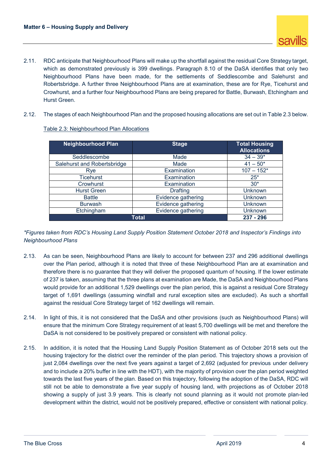- 2.11. RDC anticipate that Neighbourhood Plans will make up the shortfall against the residual Core Strategy target, which as demonstrated previously is 399 dwellings. Paragraph 8.10 of the DaSA identifies that only two Neighbourhood Plans have been made, for the settlements of Seddlescombe and Salehurst and Robertsbridge. A further three Neighbourhood Plans are at examination, these are for Rye, Ticehurst and Crowhurst, and a further four Neighbourhood Plans are being prepared for Battle, Burwash, Etchingham and Hurst Green.
- 2.12. The stages of each Neighbourhood Plan and the proposed housing allocations are set out in Table 2.3 below.

| <b>Neighbourhood Plan</b>   | <b>Stage</b>       | <b>Total Housing</b><br><b>Allocations</b> |
|-----------------------------|--------------------|--------------------------------------------|
| Seddlescombe                | Made               | $34 - 39*$                                 |
| Salehurst and Robertsbridge | Made               | $41 - 50*$                                 |
| Rye                         | Examination        | $107 - 152*$                               |
| <b>Ticehurst</b>            | Examination        | $25*$                                      |
| Crowhurst                   | Examination        | $30*$                                      |
| <b>Hurst Green</b>          | <b>Drafting</b>    | <b>Unknown</b>                             |
| <b>Battle</b>               | Evidence gathering | <b>Unknown</b>                             |
| <b>Burwash</b>              | Evidence gathering | <b>Unknown</b>                             |
| Etchingham                  | Evidence gathering | <b>Unknown</b>                             |
| <b>Total</b>                | 237 - 296          |                                            |

Table 2.3: Neighbourhood Plan Allocations

*\*Figures taken from RDC's Housing Land Supply Position Statement October 2018 and Inspector's Findings into Neighbourhood Plans*

- 2.13. As can be seen, Neighbourhood Plans are likely to account for between 237 and 296 additional dwellings over the Plan period, although it is noted that three of these Neighbourhood Plan are at examination and therefore there is no guarantee that they will deliver the proposed quantum of housing. If the lower estimate of 237 is taken, assuming that the three plans at examination are Made, the DaSA and Neighbourhood Plans would provide for an additional 1,529 dwellings over the plan period, this is against a residual Core Strategy target of 1,691 dwellings (assuming windfall and rural exception sites are excluded). As such a shortfall against the residual Core Strategy target of 162 dwellings will remain.
- 2.14. In light of this, it is not considered that the DaSA and other provisions (such as Neighbourhood Plans) will ensure that the minimum Core Strategy requirement of at least 5,700 dwellings will be met and therefore the DaSA is not considered to be positively prepared or consistent with national policy.
- 2.15. In addition, it is noted that the Housing Land Supply Position Statement as of October 2018 sets out the housing trajectory for the district over the reminder of the plan period. This trajectory shows a provision of just 2,084 dwellings over the next five years against a target of 2,692 (adjusted for previous under delivery and to include a 20% buffer in line with the HDT), with the majority of provision over the plan period weighted towards the last five years of the plan. Based on this trajectory, following the adoption of the DaSA, RDC will still not be able to demonstrate a five year supply of housing land, with projections as of October 2018 showing a supply of just 3.9 years. This is clearly not sound planning as it would not promote plan-led development within the district, would not be positively prepared, effective or consistent with national policy.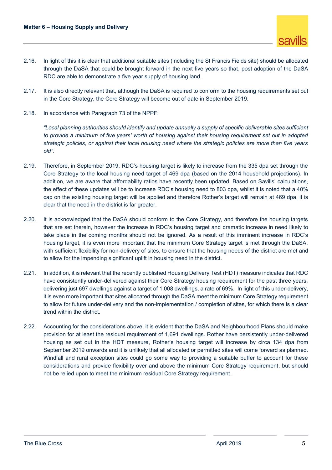- 2.16. In light of this it is clear that additional suitable sites (including the St Francis Fields site) should be allocated through the DaSA that could be brought forward in the next five years so that, post adoption of the DaSA RDC are able to demonstrate a five year supply of housing land.
- 2.17. It is also directly relevant that, although the DaSA is required to conform to the housing requirements set out in the Core Strategy, the Core Strategy will become out of date in September 2019.
- 2.18. In accordance with Paragraph 73 of the NPPF:

*"Local planning authorities should identify and update annually a supply of specific deliverable sites sufficient to provide a minimum of five years' worth of housing against their housing requirement set out in adopted strategic policies, or against their local housing need where the strategic policies are more than five years old".*

- 2.19. Therefore, in September 2019, RDC's housing target is likely to increase from the 335 dpa set through the Core Strategy to the local housing need target of 469 dpa (based on the 2014 household projections). In addition, we are aware that affordability ratios have recently been updated. Based on Savills' calculations, the effect of these updates will be to increase RDC's housing need to 803 dpa, whilst it is noted that a 40% cap on the existing housing target will be applied and therefore Rother's target will remain at 469 dpa, it is clear that the need in the district is far greater.
- 2.20. It is acknowledged that the DaSA should conform to the Core Strategy, and therefore the housing targets that are set therein, however the increase in RDC's housing target and dramatic increase in need likely to take place in the coming months should not be ignored. As a result of this imminent increase in RDC's housing target, it is even more important that the minimum Core Strategy target is met through the DaSA, with sufficient flexibility for non-delivery of sites, to ensure that the housing needs of the district are met and to allow for the impending significant uplift in housing need in the district.
- 2.21. In addition, it is relevant that the recently published Housing Delivery Test (HDT) measure indicates that RDC have consistently under-delivered against their Core Strategy housing requirement for the past three years, delivering just 697 dwellings against a target of 1,008 dwellings, a rate of 69%. In light of this under-delivery, it is even more important that sites allocated through the DaSA meet the minimum Core Strategy requirement to allow for future under-delivery and the non-implementation / completion of sites, for which there is a clear trend within the district.
- 2.22. Accounting for the considerations above, it is evident that the DaSA and Neighbourhood Plans should make provision for at least the residual requirement of 1,691 dwellings. Rother have persistently under-delivered housing as set out in the HDT measure, Rother's housing target will increase by circa 134 dpa from September 2019 onwards and it is unlikely that all allocated or permitted sites will come forward as planned. Windfall and rural exception sites could go some way to providing a suitable buffer to account for these considerations and provide flexibility over and above the minimum Core Strategy requirement, but should not be relied upon to meet the minimum residual Core Strategy requirement.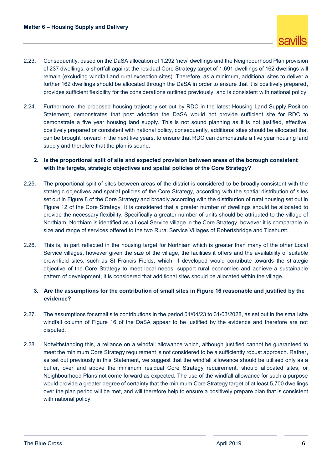- 2.23. Consequently, based on the DaSA allocation of 1,292 'new' dwellings and the Neighbourhood Plan provision of 237 dwellings, a shortfall against the residual Core Strategy target of 1,691 dwellings of 162 dwellings will remain (excluding windfall and rural exception sites). Therefore, as a minimum, additional sites to deliver a further 162 dwellings should be allocated through the DaSA in order to ensure that it is positively prepared, provides sufficient flexibility for the considerations outlined previously, and is consistent with national policy.
- 2.24. Furthermore, the proposed housing trajectory set out by RDC in the latest Housing Land Supply Position Statement, demonstrates that post adoption the DaSA would not provide sufficient site for RDC to demonstrate a five year housing land supply. This is not sound planning as it is not justified, effective, positively prepared or consistent with national policy, consequently, additional sites should be allocated that can be brought forward in the next five years, to ensure that RDC can demonstrate a five year housing land supply and therefore that the plan is sound.

## **2. Is the proportional split of site and expected provision between areas of the borough consistent with the targets, strategic objectives and spatial policies of the Core Strategy?**

- 2.25. The proportional split of sites between areas of the district is considered to be broadly consistent with the strategic objectives and spatial policies of the Core Strategy, according with the spatial distribution of sites set out in Figure 8 of the Core Strategy and broadly according with the distribution of rural housing set out in Figure 12 of the Core Strategy. It is considered that a greater number of dwellings should be allocated to provide the necessary flexibility. Specifically a greater number of units should be attributed to the village of Northiam. Northiam is identified as a Local Service village in the Core Strategy, however it is comparable in size and range of services offered to the two Rural Service Villages of Robertsbridge and Ticehurst.
- 2.26. This is, in part reflected in the housing target for Northiam which is greater than many of the other Local Service villages, however given the size of the village, the facilities it offers and the availability of suitable brownfield sites, such as St Francis Fields, which, if developed would contribute towards the strategic objective of the Core Strategy to meet local needs, support rural economies and achieve a sustainable pattern of development, it is considered that additional sites should be allocated within the village.

## **3. Are the assumptions for the contribution of small sites in Figure 16 reasonable and justified by the evidence?**

- 2.27. The assumptions for small site contributions in the period 01/04/23 to 31/03/2028, as set out in the small site windfall column of Figure 16 of the DaSA appear to be justified by the evidence and therefore are not disputed.
- 2.28. Notwithstanding this, a reliance on a windfall allowance which, although justified cannot be guaranteed to meet the minimum Core Strategy requirement is not considered to be a sufficiently robust approach. Rather, as set out previously in this Statement, we suggest that the windfall allowance should be utilised only as a buffer, over and above the minimum residual Core Strategy requirement, should allocated sites, or Neighbourhood Plans not come forward as expected. The use of the windfall allowance for such a purpose would provide a greater degree of certainty that the minimum Core Strategy target of at least 5,700 dwellings over the plan period will be met, and will therefore help to ensure a positively prepare plan that is consistent with national policy.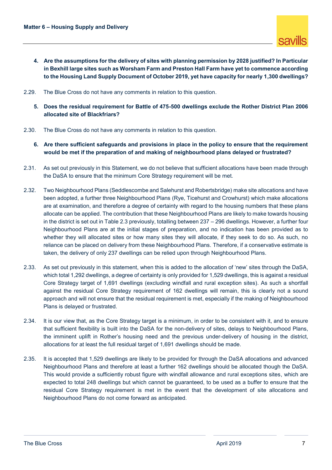- **4. Are the assumptions for the delivery of sites with planning permission by 2028 justified? In Particular in Bexhill large sites such as Worsham Farm and Preston Hall Farm have yet to commence according to the Housing Land Supply Document of October 2019, yet have capacity for nearly 1,300 dwellings?**
- 2.29. The Blue Cross do not have any comments in relation to this question.
	- **5. Does the residual requirement for Battle of 475-500 dwellings exclude the Rother District Plan 2006 allocated site of Blackfriars?**
- 2.30. The Blue Cross do not have any comments in relation to this question.
	- **6. Are there sufficient safeguards and provisions in place in the policy to ensure that the requirement would be met if the preparation of and making of neighbourhood plans delayed or frustrated?**
- 2.31. As set out previously in this Statement, we do not believe that sufficient allocations have been made through the DaSA to ensure that the minimum Core Strategy requirement will be met.
- 2.32. Two Neighbourhood Plans (Seddlescombe and Salehurst and Robertsbridge) make site allocations and have been adopted, a further three Neighbourhood Plans (Rye, Ticehurst and Crowhurst) which make allocations are at examination, and therefore a degree of certainty with regard to the housing numbers that these plans allocate can be applied. The contribution that these Neighbourhood Plans are likely to make towards housing in the district is set out in Table 2.3 previously, totalling between 237 – 296 dwellings. However, a further four Neighbourhood Plans are at the initial stages of preparation, and no indication has been provided as to whether they will allocated sites or how many sites they will allocate, if they seek to do so. As such, no reliance can be placed on delivery from these Neighbourhood Plans. Therefore, if a conservative estimate is taken, the delivery of only 237 dwellings can be relied upon through Neighbourhood Plans.
- 2.33. As set out previously in this statement, when this is added to the allocation of 'new' sites through the DaSA, which total 1,292 dwellings, a degree of certainty is only provided for 1,529 dwellings, this is against a residual Core Strategy target of 1,691 dwellings (excluding windfall and rural exception sites). As such a shortfall against the residual Core Strategy requirement of 162 dwellings will remain, this is clearly not a sound approach and will not ensure that the residual requirement is met, especially if the making of Neighbourhood Plans is delayed or frustrated.
- 2.34. It is our view that, as the Core Strategy target is a minimum, in order to be consistent with it, and to ensure that sufficient flexibility is built into the DaSA for the non-delivery of sites, delays to Neighbourhood Plans, the imminent uplift in Rother's housing need and the previous under-delivery of housing in the district, allocations for at least the full residual target of 1,691 dwellings should be made.
- 2.35. It is accepted that 1,529 dwellings are likely to be provided for through the DaSA allocations and advanced Neighbourhood Plans and therefore at least a further 162 dwellings should be allocated though the DaSA. This would provide a sufficiently robust figure with windfall allowance and rural exceptions sites, which are expected to total 248 dwellings but which cannot be guaranteed, to be used as a buffer to ensure that the residual Core Strategy requirement is met in the event that the development of site allocations and Neighbourhood Plans do not come forward as anticipated.